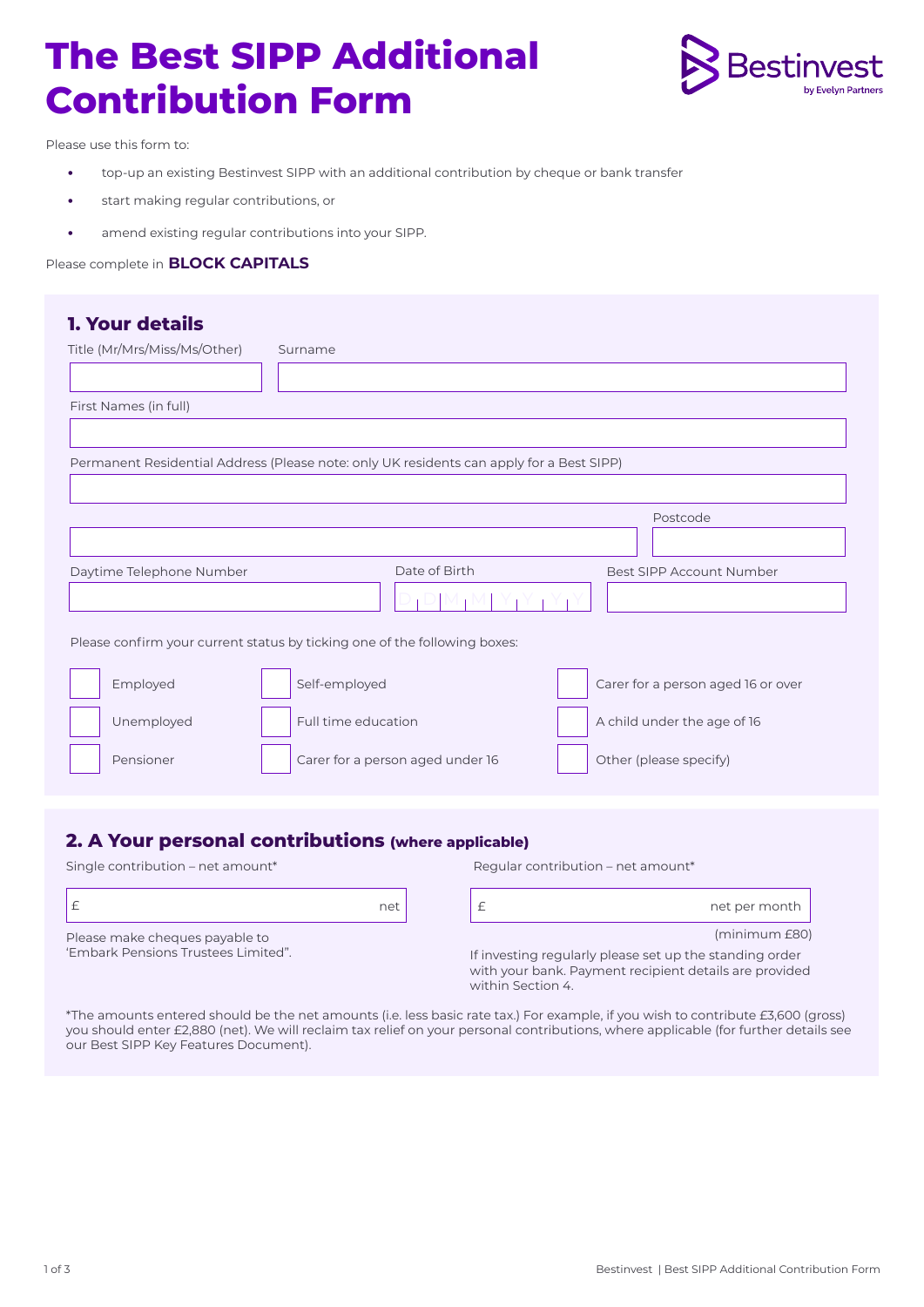# **The Best SIPP Additional Contribution Form**



Please use this form to:

- **•** top-up an existing Bestinvest SIPP with an additional contribution by cheque or bank transfer
- **•** start making regular contributions, or
- **•** amend existing regular contributions into your SIPP.

#### Please complete in **BLOCK CAPITALS**

| <b>1. Your details</b>                                                                   |                                  |               |  |                                    |  |  |
|------------------------------------------------------------------------------------------|----------------------------------|---------------|--|------------------------------------|--|--|
| Title (Mr/Mrs/Miss/Ms/Other)                                                             | Surname                          |               |  |                                    |  |  |
|                                                                                          |                                  |               |  |                                    |  |  |
| First Names (in full)                                                                    |                                  |               |  |                                    |  |  |
|                                                                                          |                                  |               |  |                                    |  |  |
| Permanent Residential Address (Please note: only UK residents can apply for a Best SIPP) |                                  |               |  |                                    |  |  |
|                                                                                          |                                  |               |  |                                    |  |  |
|                                                                                          |                                  |               |  | Postcode                           |  |  |
|                                                                                          |                                  |               |  |                                    |  |  |
| Daytime Telephone Number                                                                 |                                  | Date of Birth |  | Best SIPP Account Number           |  |  |
|                                                                                          |                                  |               |  |                                    |  |  |
|                                                                                          |                                  |               |  |                                    |  |  |
| Please confirm your current status by ticking one of the following boxes:                |                                  |               |  |                                    |  |  |
| Employed                                                                                 | Self-employed                    |               |  | Carer for a person aged 16 or over |  |  |
| Unemployed                                                                               | Full time education              |               |  | A child under the age of 16        |  |  |
| Pensioner                                                                                | Carer for a person aged under 16 |               |  | Other (please specify)             |  |  |

#### **2. A Your personal contributions (where applicable)**

Single contribution – net amount\* Regular contribution – net amount\*

'Embark Pensions Trustees Limited".

|                                | net |
|--------------------------------|-----|
| Please make cheques payable to |     |



(minimum £80)

If investing regularly please set up the standing order with your bank. Payment recipient details are provided within Section 4.

\*The amounts entered should be the net amounts (i.e. less basic rate tax.) For example, if you wish to contribute £3,600 (gross) you should enter £2,880 (net). We will reclaim tax relief on your personal contributions, where applicable (for further details see our Best SIPP Key Features Document).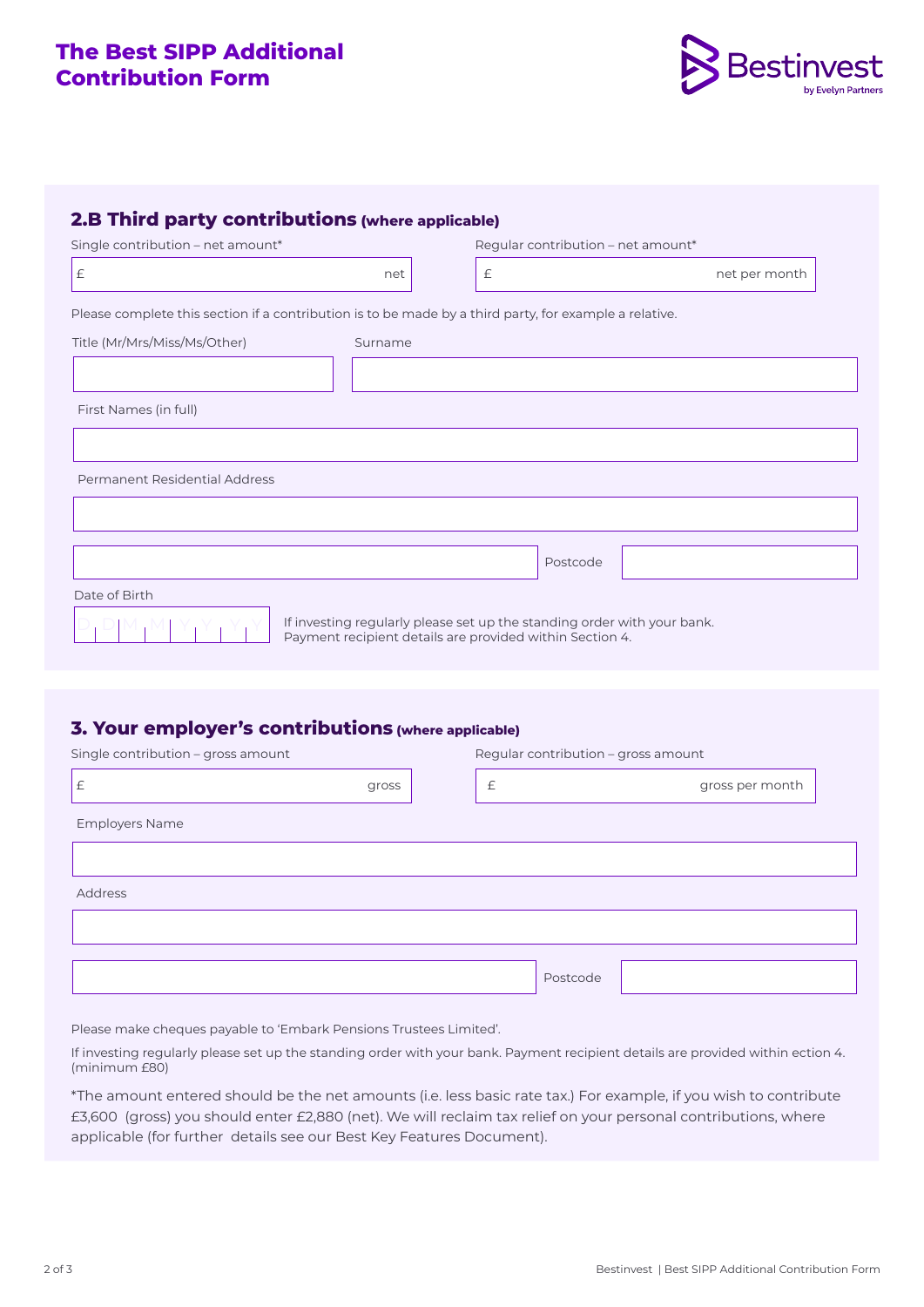# **The Best SIPP Additional Contribution Form**



| Single contribution - net amount*                                                                      |                                                                                                                                     | Regular contribution - net amount* |               |  |
|--------------------------------------------------------------------------------------------------------|-------------------------------------------------------------------------------------------------------------------------------------|------------------------------------|---------------|--|
| $\pounds$                                                                                              | net                                                                                                                                 | $\mathbf{f}$                       | net per month |  |
| Please complete this section if a contribution is to be made by a third party, for example a relative. |                                                                                                                                     |                                    |               |  |
| Title (Mr/Mrs/Miss/Ms/Other)                                                                           | Surname                                                                                                                             |                                    |               |  |
|                                                                                                        |                                                                                                                                     |                                    |               |  |
| First Names (in full)                                                                                  |                                                                                                                                     |                                    |               |  |
|                                                                                                        |                                                                                                                                     |                                    |               |  |
| Permanent Residential Address                                                                          |                                                                                                                                     |                                    |               |  |
|                                                                                                        |                                                                                                                                     |                                    |               |  |
|                                                                                                        |                                                                                                                                     | Postcode                           |               |  |
| Date of Birth                                                                                          |                                                                                                                                     |                                    |               |  |
|                                                                                                        | If investing regularly please set up the standing order with your bank.<br>Payment recipient details are provided within Section 4. |                                    |               |  |

## **3. Your employer's contributions (where applicable)**

| Single contribution - gross amount | Regular contribution - gross amount |           |          |  |                 |  |
|------------------------------------|-------------------------------------|-----------|----------|--|-----------------|--|
| £                                  | gross                               | $\pounds$ |          |  | gross per month |  |
| <b>Employers Name</b>              |                                     |           |          |  |                 |  |
|                                    |                                     |           |          |  |                 |  |
| Address                            |                                     |           |          |  |                 |  |
|                                    |                                     |           |          |  |                 |  |
|                                    |                                     |           | Postcode |  |                 |  |

Please make cheques payable to 'Embark Pensions Trustees Limited'.

If investing regularly please set up the standing order with your bank. Payment recipient details are provided within ection 4. (minimum £80)

\*The amount entered should be the net amounts (i.e. less basic rate tax.) For example, if you wish to contribute £3,600 (gross) you should enter £2,880 (net). We will reclaim tax relief on your personal contributions, where applicable (for further details see our Best Key Features Document).